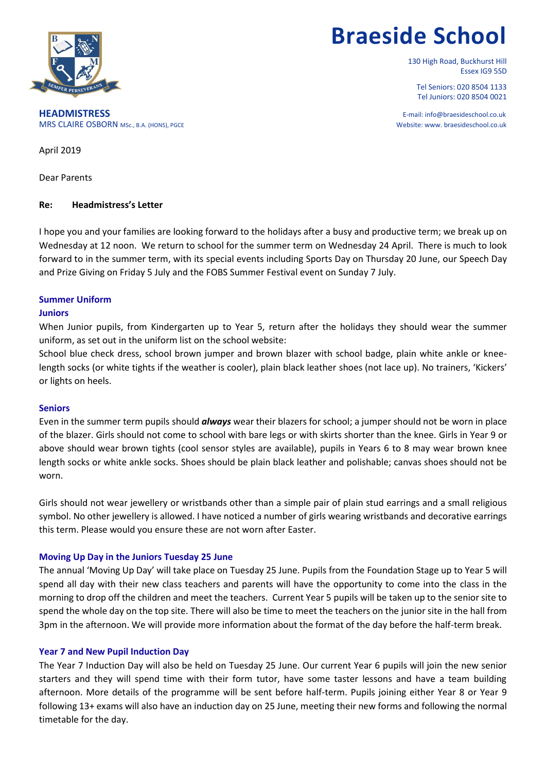

# **Braeside School**

130 High Road, Buckhurst Hill Essex IG9 5SD

Tel Seniors: 020 8504 1133 Tel Juniors: 020 8504 0021

**HEADMISTRESS** E-mail: info@braesideschool.co.uk MRS CLAIRE OSBORN MSc., B.A. (HONS), PGCE Website: www. braesideschool.co.uk

April 2019

Dear Parents

## **Re: Headmistress's Letter**

I hope you and your families are looking forward to the holidays after a busy and productive term; we break up on Wednesday at 12 noon. We return to school for the summer term on Wednesday 24 April. There is much to look forward to in the summer term, with its special events including Sports Day on Thursday 20 June, our Speech Day and Prize Giving on Friday 5 July and the FOBS Summer Festival event on Sunday 7 July.

## **Summer Uniform**

### **Juniors**

When Junior pupils, from Kindergarten up to Year 5, return after the holidays they should wear the summer uniform, as set out in the uniform list on the school website:

School blue check dress, school brown jumper and brown blazer with school badge, plain white ankle or kneelength socks (or white tights if the weather is cooler), plain black leather shoes (not lace up). No trainers, 'Kickers' or lights on heels.

#### **Seniors**

Even in the summer term pupils should *always* wear their blazers for school; a jumper should not be worn in place of the blazer. Girls should not come to school with bare legs or with skirts shorter than the knee. Girls in Year 9 or above should wear brown tights (cool sensor styles are available), pupils in Years 6 to 8 may wear brown knee length socks or white ankle socks. Shoes should be plain black leather and polishable; canvas shoes should not be worn.

Girls should not wear jewellery or wristbands other than a simple pair of plain stud earrings and a small religious symbol. No other jewellery is allowed. I have noticed a number of girls wearing wristbands and decorative earrings this term. Please would you ensure these are not worn after Easter.

## **Moving Up Day in the Juniors Tuesday 25 June**

The annual 'Moving Up Day' will take place on Tuesday 25 June. Pupils from the Foundation Stage up to Year 5 will spend all day with their new class teachers and parents will have the opportunity to come into the class in the morning to drop off the children and meet the teachers. Current Year 5 pupils will be taken up to the senior site to spend the whole day on the top site. There will also be time to meet the teachers on the junior site in the hall from 3pm in the afternoon. We will provide more information about the format of the day before the half-term break.

## **Year 7 and New Pupil Induction Day**

The Year 7 Induction Day will also be held on Tuesday 25 June. Our current Year 6 pupils will join the new senior starters and they will spend time with their form tutor, have some taster lessons and have a team building afternoon. More details of the programme will be sent before half-term. Pupils joining either Year 8 or Year 9 following 13+ exams will also have an induction day on 25 June, meeting their new forms and following the normal timetable for the day.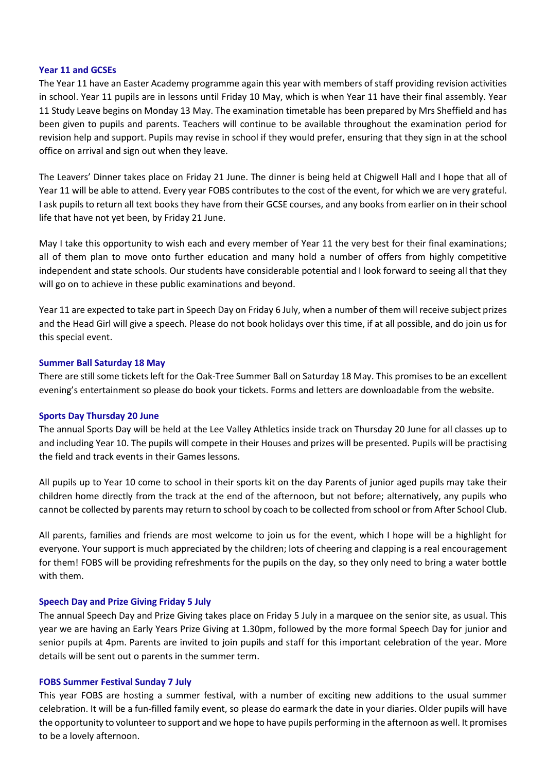#### **Year 11 and GCSEs**

The Year 11 have an Easter Academy programme again this year with members of staff providing revision activities in school. Year 11 pupils are in lessons until Friday 10 May, which is when Year 11 have their final assembly. Year 11 Study Leave begins on Monday 13 May. The examination timetable has been prepared by Mrs Sheffield and has been given to pupils and parents. Teachers will continue to be available throughout the examination period for revision help and support. Pupils may revise in school if they would prefer, ensuring that they sign in at the school office on arrival and sign out when they leave.

The Leavers' Dinner takes place on Friday 21 June. The dinner is being held at Chigwell Hall and I hope that all of Year 11 will be able to attend. Every year FOBS contributes to the cost of the event, for which we are very grateful. I ask pupils to return all text books they have from their GCSE courses, and any books from earlier on in their school life that have not yet been, by Friday 21 June.

May I take this opportunity to wish each and every member of Year 11 the very best for their final examinations; all of them plan to move onto further education and many hold a number of offers from highly competitive independent and state schools. Our students have considerable potential and I look forward to seeing all that they will go on to achieve in these public examinations and beyond.

Year 11 are expected to take part in Speech Day on Friday 6 July, when a number of them will receive subject prizes and the Head Girl will give a speech. Please do not book holidays over this time, if at all possible, and do join us for this special event.

#### **Summer Ball Saturday 18 May**

There are still some tickets left for the Oak-Tree Summer Ball on Saturday 18 May. This promises to be an excellent evening's entertainment so please do book your tickets. Forms and letters are downloadable from the website.

#### **Sports Day Thursday 20 June**

The annual Sports Day will be held at the Lee Valley Athletics inside track on Thursday 20 June for all classes up to and including Year 10. The pupils will compete in their Houses and prizes will be presented. Pupils will be practising the field and track events in their Games lessons.

All pupils up to Year 10 come to school in their sports kit on the day Parents of junior aged pupils may take their children home directly from the track at the end of the afternoon, but not before; alternatively, any pupils who cannot be collected by parents may return to school by coach to be collected from school or from After School Club.

All parents, families and friends are most welcome to join us for the event, which I hope will be a highlight for everyone. Your support is much appreciated by the children; lots of cheering and clapping is a real encouragement for them! FOBS will be providing refreshments for the pupils on the day, so they only need to bring a water bottle with them.

## **Speech Day and Prize Giving Friday 5 July**

The annual Speech Day and Prize Giving takes place on Friday 5 July in a marquee on the senior site, as usual. This year we are having an Early Years Prize Giving at 1.30pm, followed by the more formal Speech Day for junior and senior pupils at 4pm. Parents are invited to join pupils and staff for this important celebration of the year. More details will be sent out o parents in the summer term.

#### **FOBS Summer Festival Sunday 7 July**

This year FOBS are hosting a summer festival, with a number of exciting new additions to the usual summer celebration. It will be a fun-filled family event, so please do earmark the date in your diaries. Older pupils will have the opportunity to volunteer to support and we hope to have pupils performing in the afternoon as well. It promises to be a lovely afternoon.